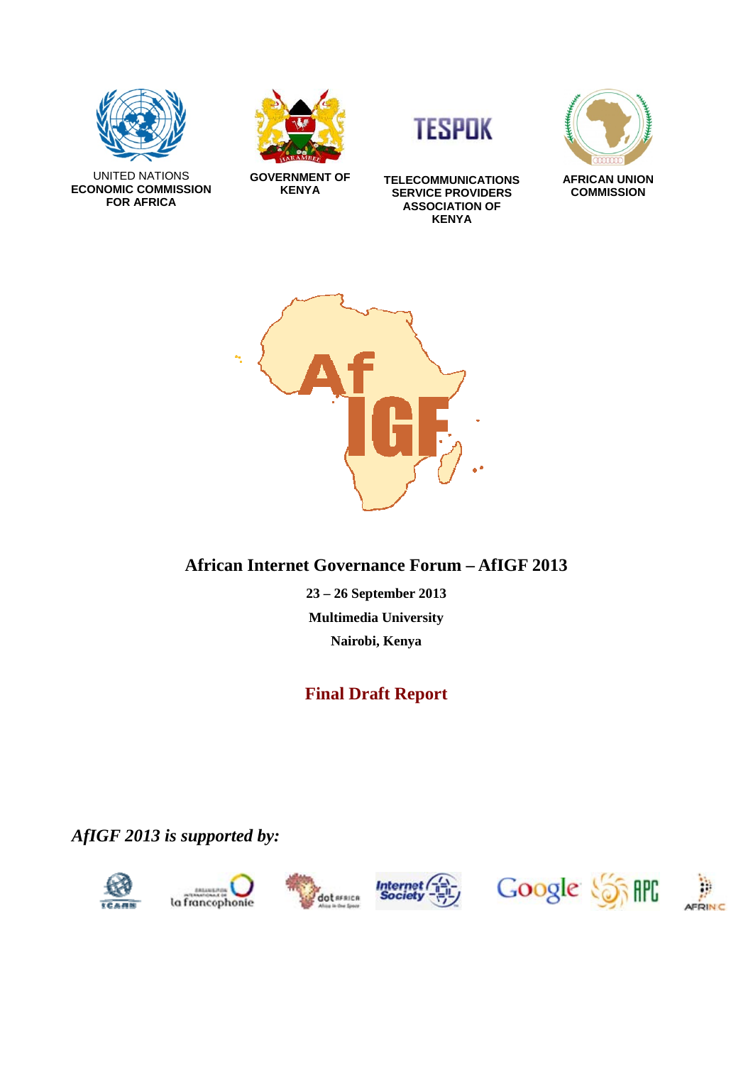







**GOVERNMENT OF KENYA** 

**TELECOMMUNICATIONS SERVICE PROVIDERS ASSOCIATION OF KENYA**



**AFRICAN UNION COMMISSION**



# **African Internet Governance Forum – AfIGF 2013**

**23 – 26 September 2013 Multimedia University Nairobi, Kenya** 

# **Final Draft Report**

*AfIGF 2013 is supported by:* 











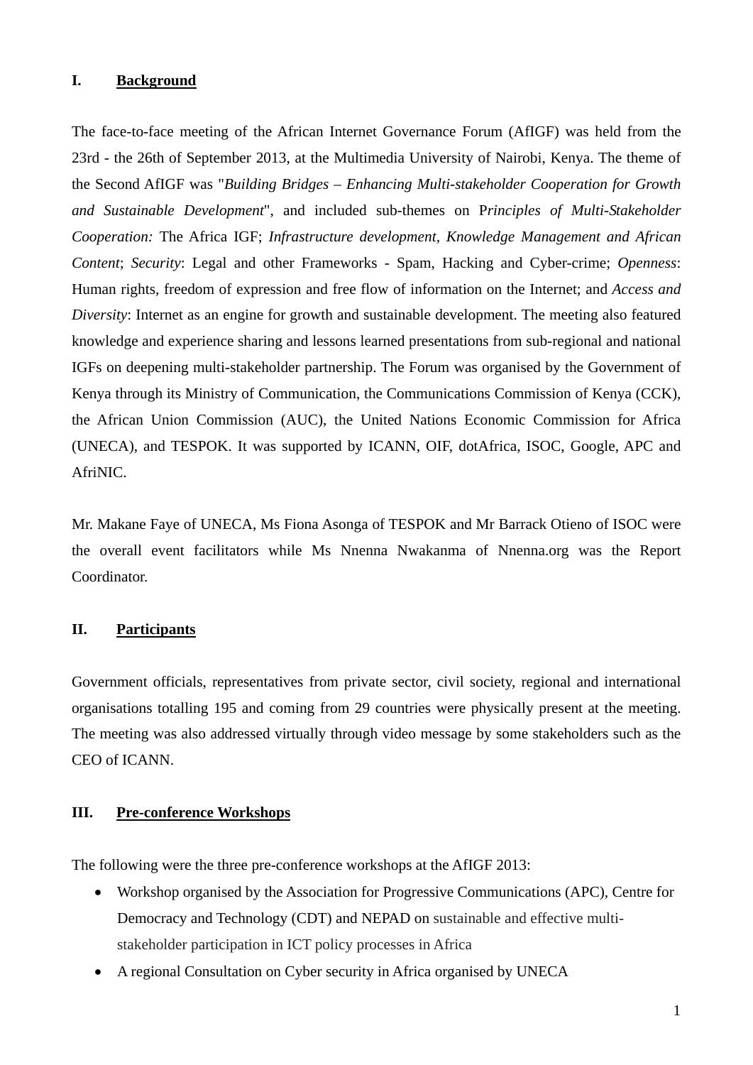#### **I. Background**

The face-to-face meeting of the African Internet Governance Forum (AfIGF) was held from the 23rd - the 26th of September 2013, at the Multimedia University of Nairobi, Kenya. The theme of the Second AfIGF was "*Building Bridges – Enhancing Multi-stakeholder Cooperation for Growth and Sustainable Development*", and included sub-themes on P*rinciples of Multi-Stakeholder Cooperation:* The Africa IGF; *Infrastructure development, Knowledge Management and African Content*; *Security*: Legal and other Frameworks - Spam, Hacking and Cyber-crime; *Openness*: Human rights, freedom of expression and free flow of information on the Internet; and *Access and Diversity*: Internet as an engine for growth and sustainable development. The meeting also featured knowledge and experience sharing and lessons learned presentations from sub-regional and national IGFs on deepening multi-stakeholder partnership. The Forum was organised by the Government of Kenya through its Ministry of Communication, the Communications Commission of Kenya (CCK), the African Union Commission (AUC), the United Nations Economic Commission for Africa (UNECA), and TESPOK. It was supported by ICANN, OIF, dotAfrica, ISOC, Google, APC and AfriNIC.

Mr. Makane Faye of UNECA, Ms Fiona Asonga of TESPOK and Mr Barrack Otieno of ISOC were the overall event facilitators while Ms Nnenna Nwakanma of Nnenna.org was the Report Coordinator.

### **II. Participants**

Government officials, representatives from private sector, civil society, regional and international organisations totalling 195 and coming from 29 countries were physically present at the meeting. The meeting was also addressed virtually through video message by some stakeholders such as the CEO of ICANN.

### **III. Pre-conference Workshops**

The following were the three pre-conference workshops at the AfIGF 2013:

- Workshop organised by the Association for Progressive Communications (APC), Centre for Democracy and Technology (CDT) and NEPAD on sustainable and effective multistakeholder participation in ICT policy processes in Africa
- A regional Consultation on Cyber security in Africa organised by UNECA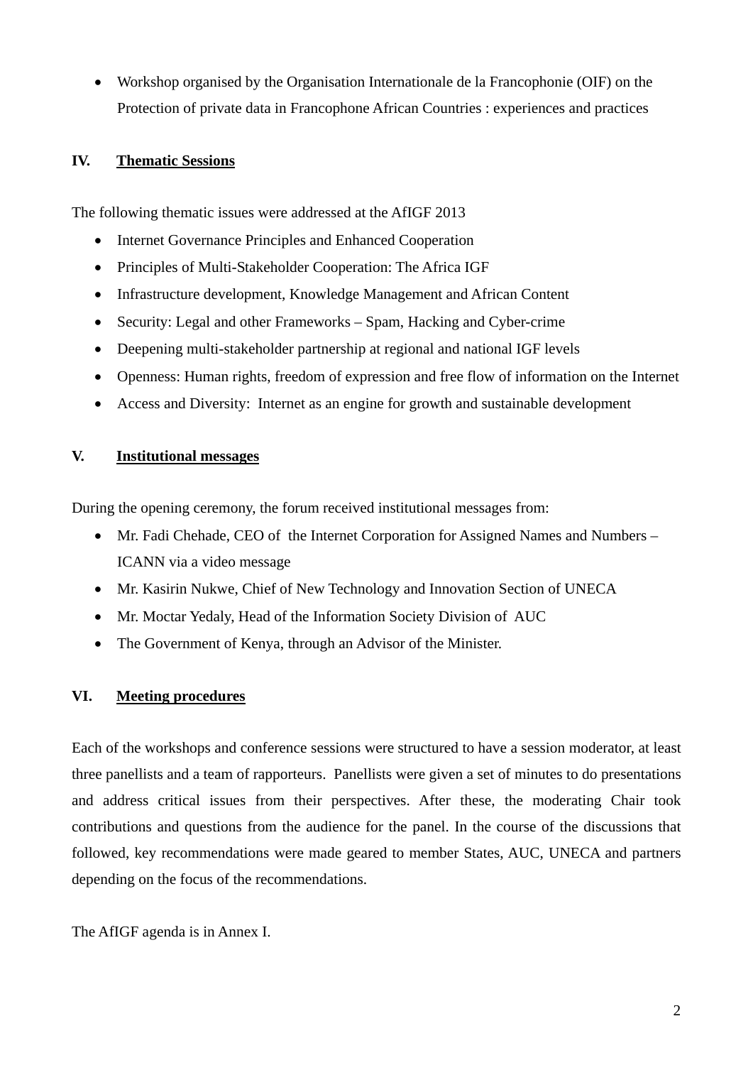• Workshop organised by the Organisation Internationale de la Francophonie (OIF) on the Protection of private data in Francophone African Countries : experiences and practices

### **IV. Thematic Sessions**

The following thematic issues were addressed at the AfIGF 2013

- Internet Governance Principles and Enhanced Cooperation
- Principles of Multi-Stakeholder Cooperation: The Africa IGF
- Infrastructure development, Knowledge Management and African Content
- Security: Legal and other Frameworks Spam, Hacking and Cyber-crime
- Deepening multi-stakeholder partnership at regional and national IGF levels
- Openness: Human rights, freedom of expression and free flow of information on the Internet
- Access and Diversity: Internet as an engine for growth and sustainable development

### **V. Institutional messages**

During the opening ceremony, the forum received institutional messages from:

- Mr. Fadi Chehade, CEO of the Internet Corporation for Assigned Names and Numbers ICANN via a video message
- Mr. Kasirin Nukwe, Chief of New Technology and Innovation Section of UNECA
- Mr. Moctar Yedaly, Head of the Information Society Division of AUC
- The Government of Kenya, through an Advisor of the Minister.

# **VI. Meeting procedures**

Each of the workshops and conference sessions were structured to have a session moderator, at least three panellists and a team of rapporteurs. Panellists were given a set of minutes to do presentations and address critical issues from their perspectives. After these, the moderating Chair took contributions and questions from the audience for the panel. In the course of the discussions that followed, key recommendations were made geared to member States, AUC, UNECA and partners depending on the focus of the recommendations.

The AfIGF agenda is in Annex I.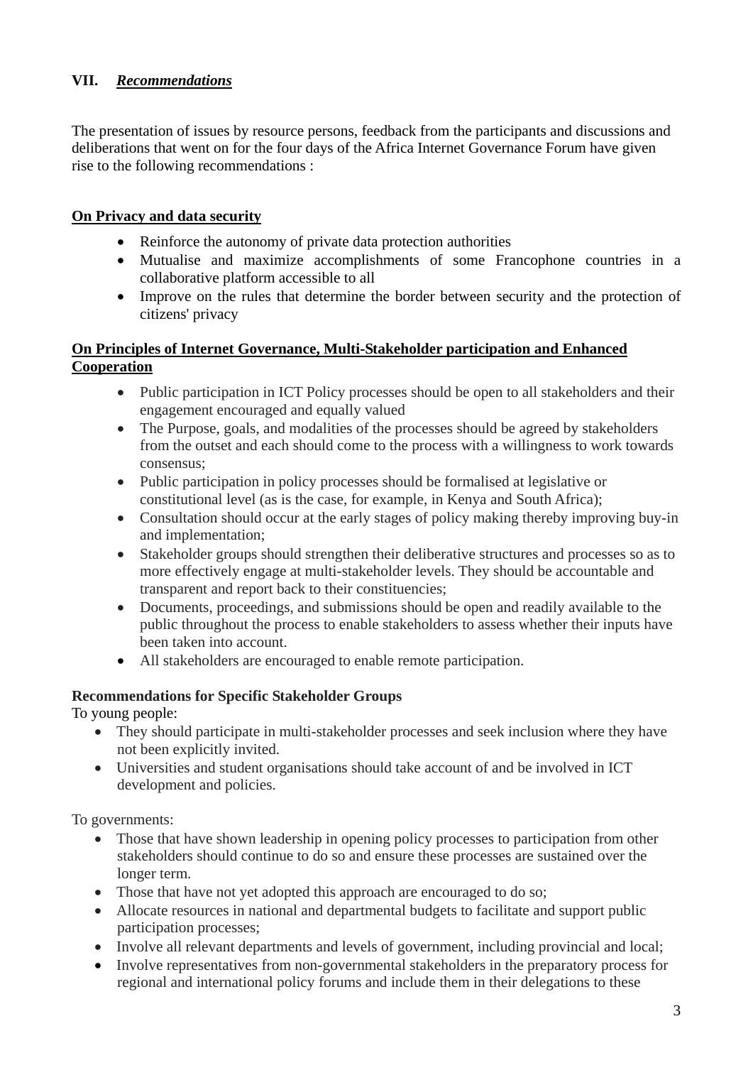## **VII.** *Recommendations*

The presentation of issues by resource persons, feedback from the participants and discussions and deliberations that went on for the four days of the Africa Internet Governance Forum have given rise to the following recommendations :

### **On Privacy and data security**

- Reinforce the autonomy of private data protection authorities
- Mutualise and maximize accomplishments of some Francophone countries in a collaborative platform accessible to all
- Improve on the rules that determine the border between security and the protection of citizens' privacy

# **On Principles of Internet Governance, Multi-Stakeholder participation and Enhanced Cooperation**

- Public participation in ICT Policy processes should be open to all stakeholders and their engagement encouraged and equally valued
- The Purpose, goals, and modalities of the processes should be agreed by stakeholders from the outset and each should come to the process with a willingness to work towards consensus;
- Public participation in policy processes should be formalised at legislative or constitutional level (as is the case, for example, in Kenya and South Africa);
- Consultation should occur at the early stages of policy making thereby improving buy-in and implementation;
- Stakeholder groups should strengthen their deliberative structures and processes so as to more effectively engage at multi-stakeholder levels. They should be accountable and transparent and report back to their constituencies;
- Documents, proceedings, and submissions should be open and readily available to the public throughout the process to enable stakeholders to assess whether their inputs have been taken into account.
- All stakeholders are encouraged to enable remote participation.

### **Recommendations for Specific Stakeholder Groups**

To young people:

- They should participate in multi-stakeholder processes and seek inclusion where they have not been explicitly invited.
- Universities and student organisations should take account of and be involved in ICT development and policies.

To governments:

- Those that have shown leadership in opening policy processes to participation from other stakeholders should continue to do so and ensure these processes are sustained over the longer term.
- Those that have not yet adopted this approach are encouraged to do so;
- Allocate resources in national and departmental budgets to facilitate and support public participation processes;
- Involve all relevant departments and levels of government, including provincial and local;
- Involve representatives from non-governmental stakeholders in the preparatory process for regional and international policy forums and include them in their delegations to these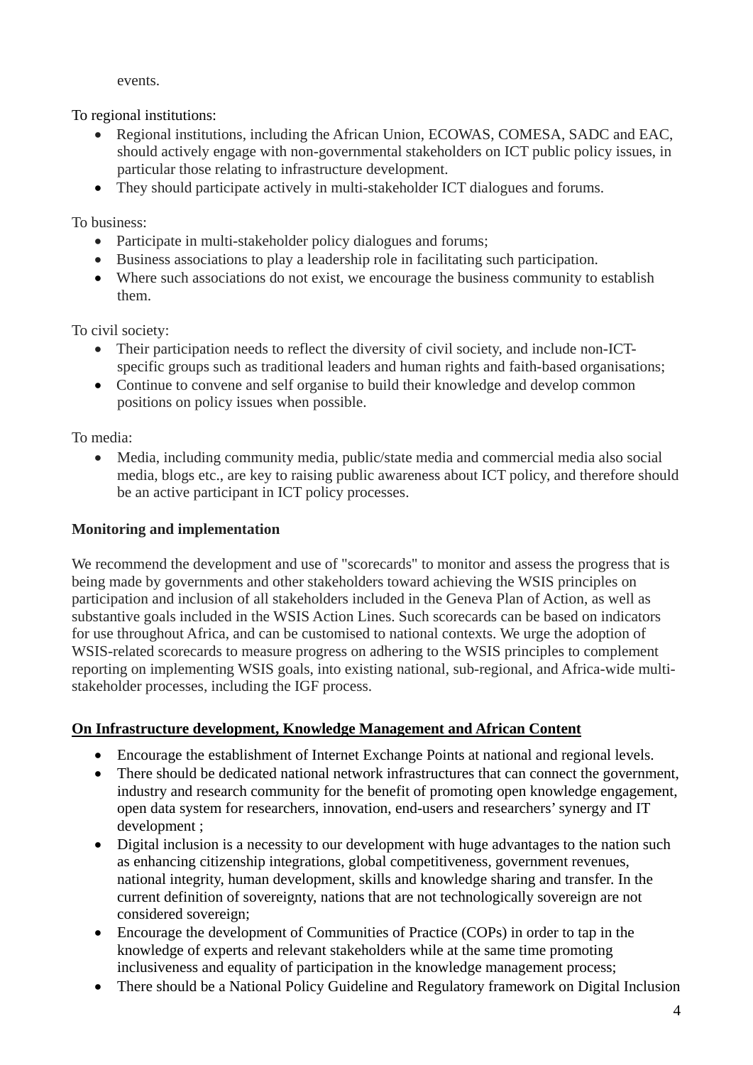events.

To regional institutions:

- Regional institutions, including the African Union, ECOWAS, COMESA, SADC and EAC, should actively engage with non-governmental stakeholders on ICT public policy issues, in particular those relating to infrastructure development.
- They should participate actively in multi-stakeholder ICT dialogues and forums.

To business:

- Participate in multi-stakeholder policy dialogues and forums;
- Business associations to play a leadership role in facilitating such participation.
- Where such associations do not exist, we encourage the business community to establish them.

To civil society:

- Their participation needs to reflect the diversity of civil society, and include non-ICTspecific groups such as traditional leaders and human rights and faith-based organisations;
- Continue to convene and self organise to build their knowledge and develop common positions on policy issues when possible.

To media:

• Media, including community media, public/state media and commercial media also social media, blogs etc., are key to raising public awareness about ICT policy, and therefore should be an active participant in ICT policy processes.

# **Monitoring and implementation**

We recommend the development and use of "scorecards" to monitor and assess the progress that is being made by governments and other stakeholders toward achieving the WSIS principles on participation and inclusion of all stakeholders included in the Geneva Plan of Action, as well as substantive goals included in the WSIS Action Lines. Such scorecards can be based on indicators for use throughout Africa, and can be customised to national contexts. We urge the adoption of WSIS-related scorecards to measure progress on adhering to the WSIS principles to complement reporting on implementing WSIS goals, into existing national, sub-regional, and Africa-wide multistakeholder processes, including the IGF process.

# **On Infrastructure development, Knowledge Management and African Content**

- Encourage the establishment of Internet Exchange Points at national and regional levels.
- There should be dedicated national network infrastructures that can connect the government, industry and research community for the benefit of promoting open knowledge engagement, open data system for researchers, innovation, end-users and researchers' synergy and IT development ;
- Digital inclusion is a necessity to our development with huge advantages to the nation such as enhancing citizenship integrations, global competitiveness, government revenues, national integrity, human development, skills and knowledge sharing and transfer. In the current definition of sovereignty, nations that are not technologically sovereign are not considered sovereign;
- Encourage the development of Communities of Practice (COPs) in order to tap in the knowledge of experts and relevant stakeholders while at the same time promoting inclusiveness and equality of participation in the knowledge management process;
- There should be a National Policy Guideline and Regulatory framework on Digital Inclusion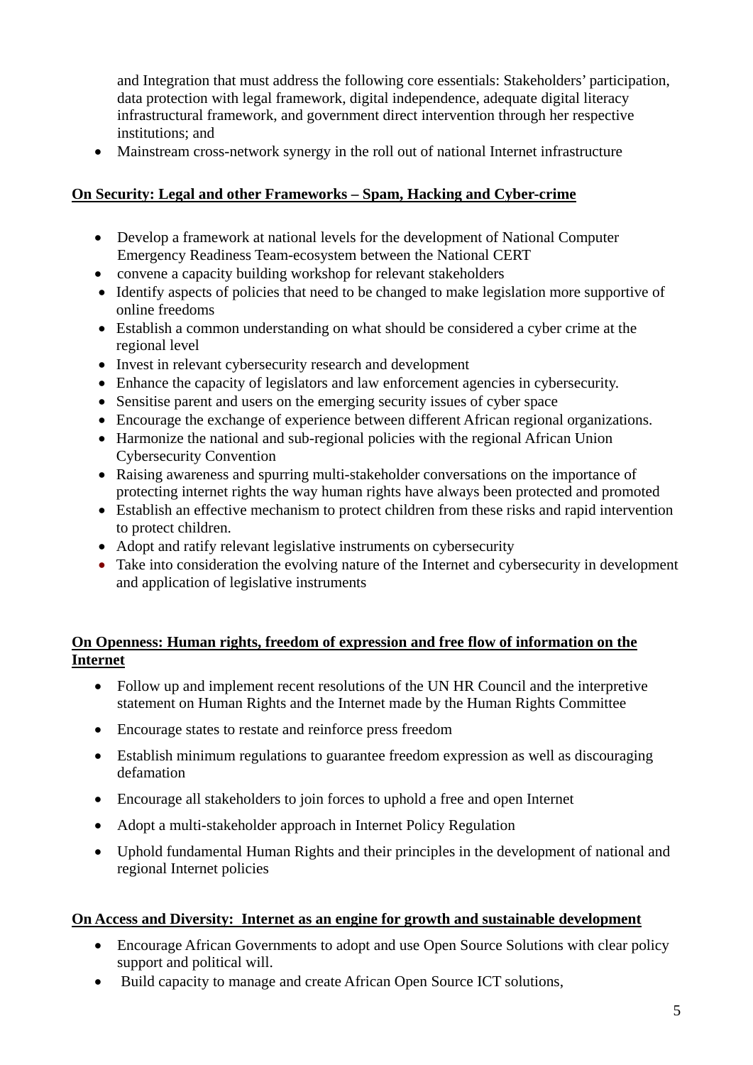and Integration that must address the following core essentials: Stakeholders' participation, data protection with legal framework, digital independence, adequate digital literacy infrastructural framework, and government direct intervention through her respective institutions; and

• Mainstream cross-network synergy in the roll out of national Internet infrastructure

# **On Security: Legal and other Frameworks – Spam, Hacking and Cyber-crime**

- Develop a framework at national levels for the development of National Computer Emergency Readiness Team-ecosystem between the National CERT
- convene a capacity building workshop for relevant stakeholders
- Identify aspects of policies that need to be changed to make legislation more supportive of online freedoms
- Establish a common understanding on what should be considered a cyber crime at the regional level
- Invest in relevant cybersecurity research and development
- Enhance the capacity of legislators and law enforcement agencies in cybersecurity.
- Sensitise parent and users on the emerging security issues of cyber space
- Encourage the exchange of experience between different African regional organizations.
- Harmonize the national and sub-regional policies with the regional African Union Cybersecurity Convention
- Raising awareness and spurring multi-stakeholder conversations on the importance of protecting internet rights the way human rights have always been protected and promoted
- Establish an effective mechanism to protect children from these risks and rapid intervention to protect children.
- Adopt and ratify relevant legislative instruments on cybersecurity
- Take into consideration the evolving nature of the Internet and cybersecurity in development and application of legislative instruments

# **On Openness: Human rights, freedom of expression and free flow of information on the Internet**

- Follow up and implement recent resolutions of the UN HR Council and the interpretive statement on Human Rights and the Internet made by the Human Rights Committee
- Encourage states to restate and reinforce press freedom
- Establish minimum regulations to guarantee freedom expression as well as discouraging defamation
- Encourage all stakeholders to join forces to uphold a free and open Internet
- Adopt a multi-stakeholder approach in Internet Policy Regulation
- Uphold fundamental Human Rights and their principles in the development of national and regional Internet policies

# **On Access and Diversity: Internet as an engine for growth and sustainable development**

- Encourage African Governments to adopt and use Open Source Solutions with clear policy support and political will.
- Build capacity to manage and create African Open Source ICT solutions,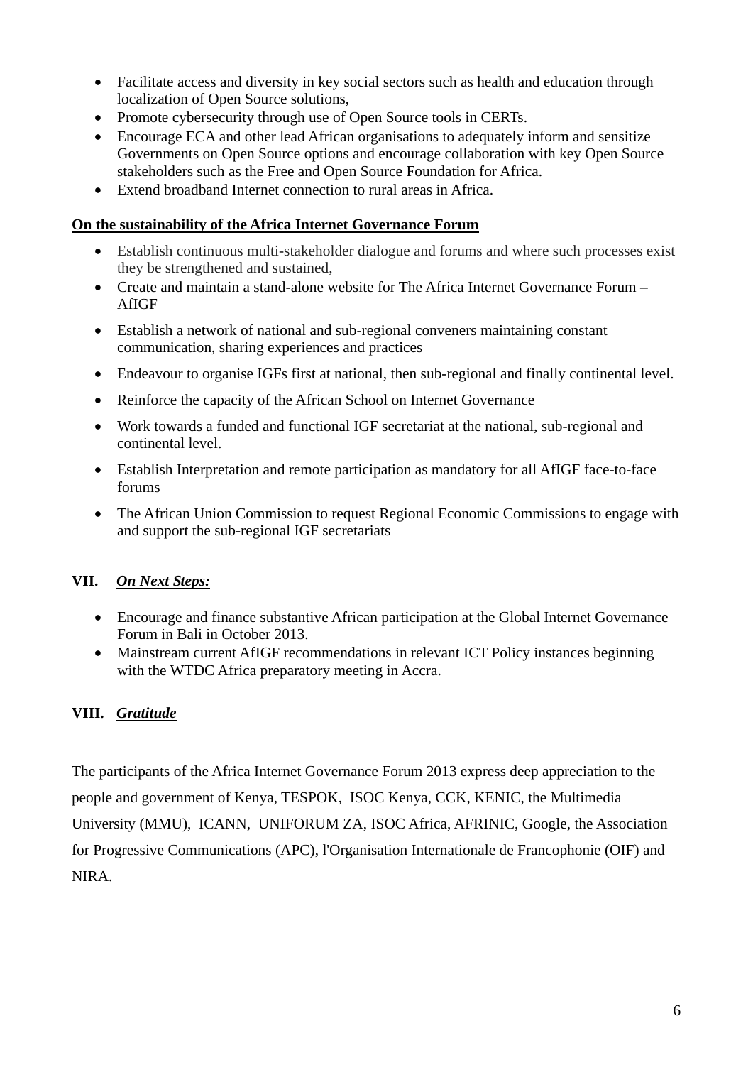- Facilitate access and diversity in key social sectors such as health and education through localization of Open Source solutions,
- Promote cybersecurity through use of Open Source tools in CERTs.
- Encourage ECA and other lead African organisations to adequately inform and sensitize Governments on Open Source options and encourage collaboration with key Open Source stakeholders such as the Free and Open Source Foundation for Africa.
- Extend broadband Internet connection to rural areas in Africa.

### **On the sustainability of the Africa Internet Governance Forum**

- Establish continuous multi-stakeholder dialogue and forums and where such processes exist they be strengthened and sustained,
- Create and maintain a stand-alone website for The Africa Internet Governance Forum AfIGF
- Establish a network of national and sub-regional conveners maintaining constant communication, sharing experiences and practices
- Endeavour to organise IGFs first at national, then sub-regional and finally continental level.
- Reinforce the capacity of the African School on Internet Governance
- Work towards a funded and functional IGF secretariat at the national, sub-regional and continental level.
- Establish Interpretation and remote participation as mandatory for all AfIGF face-to-face forums
- The African Union Commission to request Regional Economic Commissions to engage with and support the sub-regional IGF secretariats

# **VII.** *On Next Steps:*

- Encourage and finance substantive African participation at the Global Internet Governance Forum in Bali in October 2013.
- Mainstream current AfIGF recommendations in relevant ICT Policy instances beginning with the WTDC Africa preparatory meeting in Accra.

# **VIII.** *Gratitude*

The participants of the Africa Internet Governance Forum 2013 express deep appreciation to the people and government of Kenya, TESPOK, ISOC Kenya, CCK, KENIC, the Multimedia University (MMU), ICANN, UNIFORUM ZA, ISOC Africa, AFRINIC, Google, the Association for Progressive Communications (APC), l'Organisation Internationale de Francophonie (OIF) and NIRA.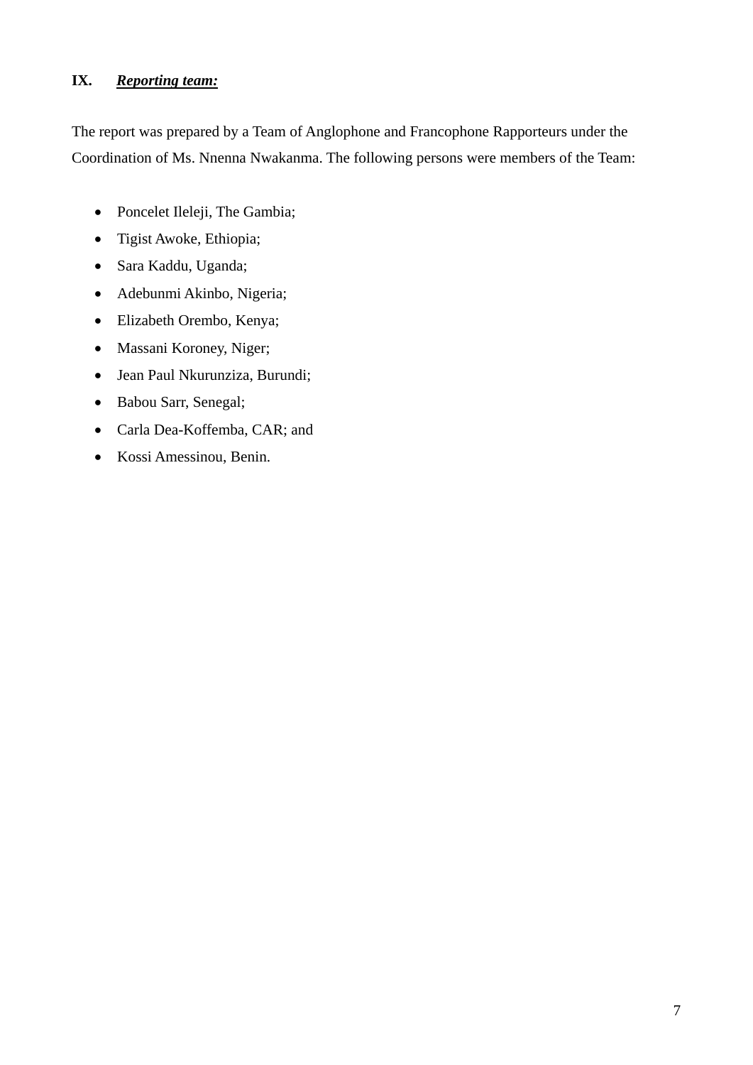# **IX.** *Reporting team:*

The report was prepared by a Team of Anglophone and Francophone Rapporteurs under the Coordination of Ms. Nnenna Nwakanma. The following persons were members of the Team:

- Poncelet Ileleji, The Gambia;
- Tigist Awoke, Ethiopia;
- Sara Kaddu, Uganda;
- Adebunmi Akinbo, Nigeria;
- Elizabeth Orembo, Kenya;
- Massani Koroney, Niger;
- Jean Paul Nkurunziza, Burundi;
- Babou Sarr, Senegal;
- Carla Dea-Koffemba, CAR; and
- Kossi Amessinou, Benin.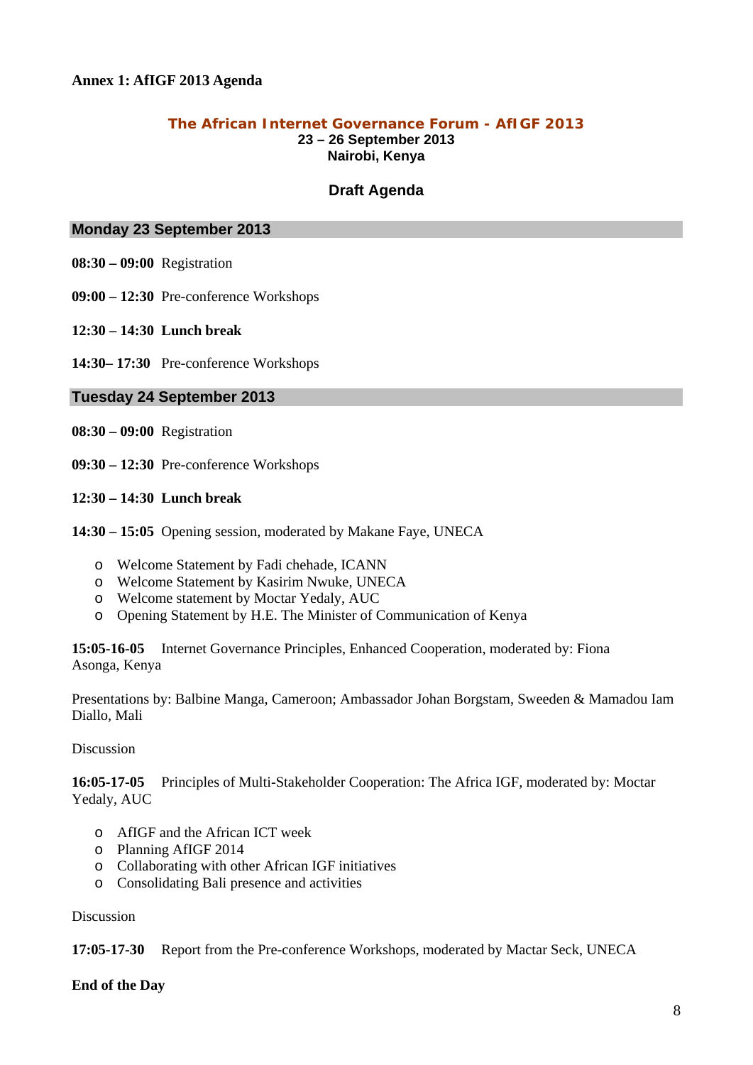#### **Annex 1: AfIGF 2013 Agenda**

#### **The African Internet Governance Forum - AfIGF 2013 23 – 26 September 2013 Nairobi, Kenya**

#### **Draft Agenda**

#### **Monday 23 September 2013**

- **08:30 09:00** Registration
- **09:00 12:30** Pre-conference Workshops
- **12:30 14:30 Lunch break**
- **14:30– 17:30** Pre-conference Workshops

#### **Tuesday 24 September 2013**

- **08:30 09:00** Registration
- **09:30 12:30** Pre-conference Workshops
- **12:30 14:30 Lunch break**
- **14:30 15:05** Opening session, moderated by Makane Faye, UNECA
	- o Welcome Statement by Fadi chehade, ICANN
	- o Welcome Statement by Kasirim Nwuke, UNECA
	- o Welcome statement by Moctar Yedaly, AUC
	- o Opening Statement by H.E. The Minister of Communication of Kenya

**15:05-16-05** Internet Governance Principles, Enhanced Cooperation, moderated by: Fiona Asonga, Kenya

Presentations by: Balbine Manga, Cameroon; Ambassador Johan Borgstam, Sweeden & Mamadou Iam Diallo, Mali

#### Discussion

**16:05-17-05** Principles of Multi-Stakeholder Cooperation: The Africa IGF, moderated by: Moctar Yedaly, AUC

- o AfIGF and the African ICT week
- o Planning AfIGF 2014
- o Collaborating with other African IGF initiatives
- o Consolidating Bali presence and activities

#### Discussion

**17:05-17-30** Report from the Pre-conference Workshops, moderated by Mactar Seck, UNECA

#### **End of the Day**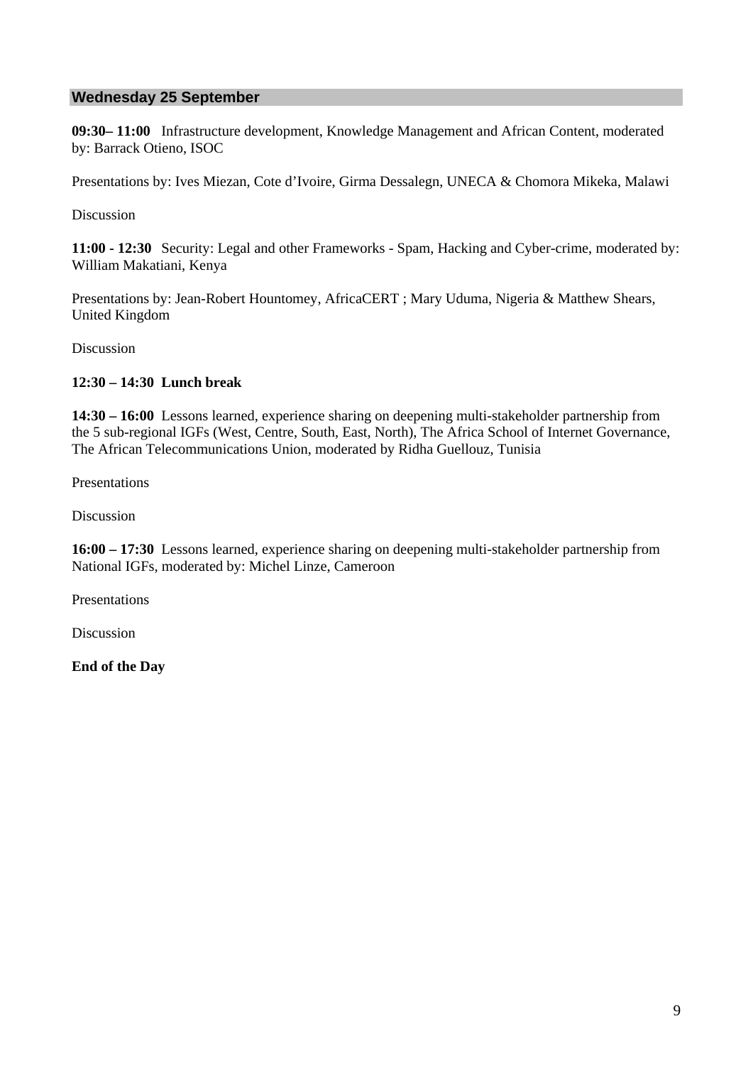### **Wednesday 25 September**

**09:30– 11:00** Infrastructure development, Knowledge Management and African Content, moderated by: Barrack Otieno, ISOC

Presentations by: Ives Miezan, Cote d'Ivoire, Girma Dessalegn, UNECA & Chomora Mikeka, Malawi

Discussion

**11:00 - 12:30** Security: Legal and other Frameworks - Spam, Hacking and Cyber-crime, moderated by: William Makatiani, Kenya

Presentations by: Jean-Robert Hountomey, AfricaCERT ; Mary Uduma, Nigeria & Matthew Shears, United Kingdom

Discussion

#### **12:30 – 14:30 Lunch break**

**14:30 – 16:00** Lessons learned, experience sharing on deepening multi-stakeholder partnership from the 5 sub-regional IGFs (West, Centre, South, East, North), The Africa School of Internet Governance, The African Telecommunications Union, moderated by Ridha Guellouz, Tunisia

Presentations

Discussion

**16:00 – 17:30** Lessons learned, experience sharing on deepening multi-stakeholder partnership from National IGFs, moderated by: Michel Linze, Cameroon

Presentations

Discussion

**End of the Day**